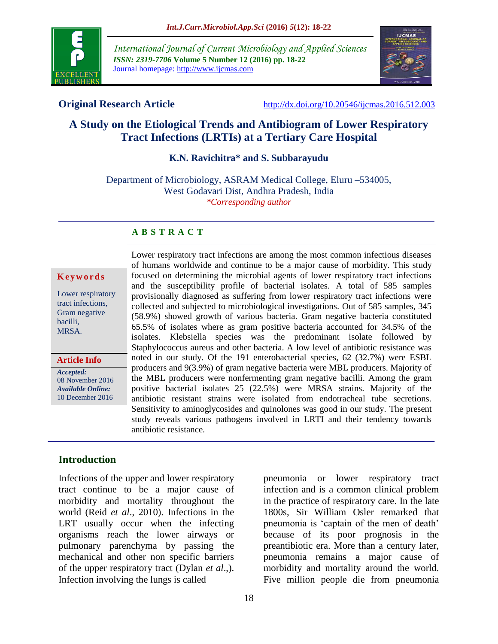

*International Journal of Current Microbiology and Applied Sciences ISSN: 2319-7706* **Volume 5 Number 12 (2016) pp. 18-22** Journal homepage: http://www.ijcmas.com



**Original Research Article** <http://dx.doi.org/10.20546/ijcmas.2016.512.003>

# **A Study on the Etiological Trends and Antibiogram of Lower Respiratory Tract Infections (LRTIs) at a Tertiary Care Hospital**

**K.N. Ravichitra\* and S. Subbarayudu**

Department of Microbiology, ASRAM Medical College, Eluru –534005, West Godavari Dist, Andhra Pradesh, India *\*Corresponding author*

## **A B S T R A C T**

#### **K e y w o r d s**

Lower respiratory tract infections, Gram negative bacilli, MRSA.

*Accepted:*  08 November 2016 *Available Online:* 10 December 2016 **Article Info**

Lower respiratory tract infections are among the most common infectious diseases of humans worldwide and continue to be a major cause of morbidity. This study focused on determining the microbial agents of lower respiratory tract infections and the susceptibility profile of bacterial isolates. A total of 585 samples provisionally diagnosed as suffering from lower respiratory tract infections were collected and subjected to microbiological investigations. Out of 585 samples, 345 (58.9%) showed growth of various bacteria. Gram negative bacteria constituted 65.5% of isolates where as gram positive bacteria accounted for 34.5% of the isolates. Klebsiella species was the predominant isolate followed by Staphylococcus aureus and other bacteria. A low level of antibiotic resistance was noted in our study. Of the 191 enterobacterial species, 62 (32.7%) were ESBL producers and 9(3.9%) of gram negative bacteria were MBL producers. Majority of the MBL producers were nonfermenting gram negative bacilli. Among the gram positive bacterial isolates 25 (22.5%) were MRSA strains. Majority of the antibiotic resistant strains were isolated from endotracheal tube secretions. Sensitivity to aminoglycosides and quinolones was good in our study. The present study reveals various pathogens involved in LRTI and their tendency towards antibiotic resistance.

# **Introduction**

Infections of the upper and lower respiratory tract continue to be a major cause of morbidity and mortality throughout the world (Reid *et al*., 2010). Infections in the LRT usually occur when the infecting organisms reach the lower airways or pulmonary parenchyma by passing the mechanical and other non specific barriers of the upper respiratory tract (Dylan *et al*.,). Infection involving the lungs is called

pneumonia or lower respiratory tract infection and is a common clinical problem in the practice of respiratory care. In the late 1800s, Sir William Osler remarked that pneumonia is 'captain of the men of death' because of its poor prognosis in the preantibiotic era. More than a century later, pneumonia remains a major cause of morbidity and mortality around the world. Five million people die from pneumonia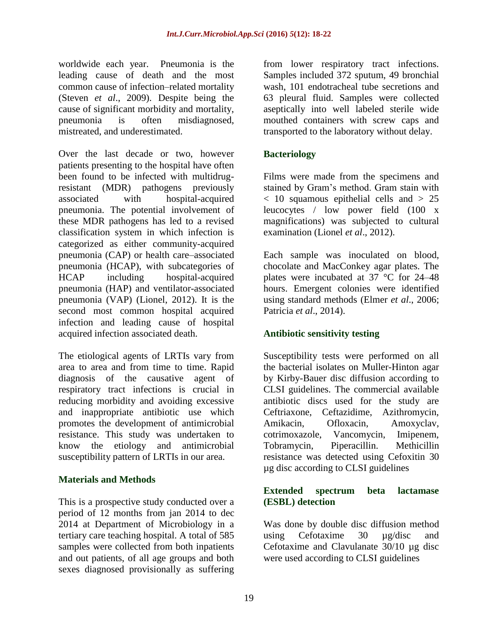worldwide each year. Pneumonia is the leading cause of death and the most common cause of infection–related mortality (Steven *et al*., 2009). Despite being the cause of significant morbidity and mortality, pneumonia is often misdiagnosed, mistreated, and underestimated.

Over the last decade or two, however patients presenting to the hospital have often been found to be infected with multidrugresistant (MDR) pathogens previously associated with hospital-acquired pneumonia. The potential involvement of these MDR pathogens has led to a revised classification system in which infection is categorized as either community-acquired pneumonia (CAP) or health care–associated pneumonia (HCAP), with subcategories of HCAP including hospital-acquired pneumonia (HAP) and ventilator-associated pneumonia (VAP) (Lionel, 2012). It is the second most common hospital acquired infection and leading cause of hospital acquired infection associated death.

The etiological agents of LRTIs vary from area to area and from time to time. Rapid diagnosis of the causative agent of respiratory tract infections is crucial in reducing morbidity and avoiding excessive and inappropriate antibiotic use which promotes the development of antimicrobial resistance. This study was undertaken to know the etiology and antimicrobial susceptibility pattern of LRTIs in our area.

#### **Materials and Methods**

This is a prospective study conducted over a period of 12 months from jan 2014 to dec 2014 at Department of Microbiology in a tertiary care teaching hospital. A total of 585 samples were collected from both inpatients and out patients, of all age groups and both sexes diagnosed provisionally as suffering

from lower respiratory tract infections. Samples included 372 sputum, 49 bronchial wash, 101 endotracheal tube secretions and 63 pleural fluid. Samples were collected aseptically into well labeled sterile wide mouthed containers with screw caps and transported to the laboratory without delay.

# **Bacteriology**

Films were made from the specimens and stained by Gram's method. Gram stain with < 10 squamous epithelial cells and > 25 leucocytes / low power field (100 x magnifications) was subjected to cultural examination (Lionel *et al*., 2012).

Each sample was inoculated on blood, chocolate and MacConkey agar plates. The plates were incubated at 37 °C for 24–48 hours. Emergent colonies were identified using standard methods (Elmer *et al*., 2006; Patricia *et al*., 2014).

# **Antibiotic sensitivity testing**

Susceptibility tests were performed on all the bacterial isolates on Muller-Hinton agar by Kirby-Bauer disc diffusion according to CLSI guidelines. The commercial available antibiotic discs used for the study are Ceftriaxone, Ceftazidime, Azithromycin, Amikacin, Ofloxacin, Amoxyclav, cotrimoxazole, Vancomycin, Imipenem, Tobramycin, Piperacillin. Methicillin resistance was detected using Cefoxitin 30 µg disc according to CLSI guidelines

## **Extended spectrum beta lactamase (ESBL) detection**

Was done by double disc diffusion method using Cefotaxime 30 µg/disc and Cefotaxime and Clavulanate 30/10 µg disc were used according to CLSI guidelines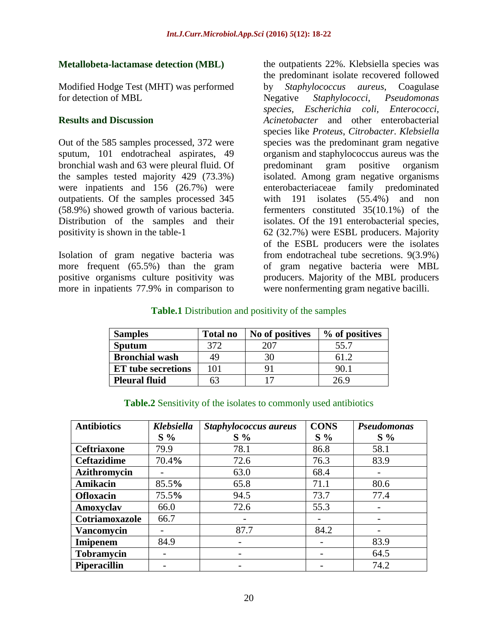## **Metallobeta-lactamase detection (MBL)**

Modified Hodge Test (MHT) was performed for detection of MBL

## **Results and Discussion**

Out of the 585 samples processed, 372 were sputum, 101 endotracheal aspirates, 49 bronchial wash and 63 were pleural fluid. Of the samples tested majority 429 (73.3%) were inpatients and 156 (26.7%) were outpatients. Of the samples processed 345 (58.9%) showed growth of various bacteria. Distribution of the samples and their positivity is shown in the table-1

Isolation of gram negative bacteria was more frequent (65.5%) than the gram positive organisms culture positivity was more in inpatients 77.9% in comparison to

the outpatients 22%. Klebsiella species was the predominant isolate recovered followed by *Staphylococcus aureus*, Coagulase Negative *Staphylococci, Pseudomonas species, Escherichia coli, Enterococci, Acinetobacter* and other enterobacterial species like *Proteus*, *Citrobacter*. *Klebsiella* species was the predominant gram negative organism and staphylococcus aureus was the predominant gram positive organism isolated. Among gram negative organisms enterobacteriaceae family predominated with 191 isolates (55.4%) and non fermenters constituted 35(10.1%) of the isolates. Of the 191 enterobacterial species, 62 (32.7%) were ESBL producers. Majority of the ESBL producers were the isolates from endotracheal tube secretions. 9(3.9%) of gram negative bacteria were MBL producers. Majority of the MBL producers were nonfermenting gram negative bacilli.

## **Table.1** Distribution and positivity of the samples

| <b>Samples</b>            | <b>Total no</b> | No of positives | % of positives |
|---------------------------|-----------------|-----------------|----------------|
| <b>Sputum</b>             | 372             | 207             | 55.7           |
| <b>Bronchial wash</b>     | 49              | 30              |                |
| <b>ET</b> tube secretions | 101             |                 | 90.1           |
| <b>Pleural fluid</b>      | 63              |                 | 26.9           |

| <b>Antibiotics</b>  | Klebsiella | Staphylococcus aureus | <b>CONS</b> | <b>Pseudomonas</b> |
|---------------------|------------|-----------------------|-------------|--------------------|
|                     | $S\%$      | $S\%$                 | $S\%$       | $S\%$              |
| <b>Ceftriaxone</b>  | 79.9       | 78.1                  | 86.8        | 58.1               |
| <b>Ceftazidime</b>  | 70.4%      | 72.6                  | 76.3        | 83.9               |
| Azithromycin        |            | 63.0                  | 68.4        |                    |
| Amikacin            | 85.5%      | 65.8                  | 71.1        | 80.6               |
| <b>Ofloxacin</b>    | 75.5%      | 94.5                  | 73.7        | 77.4               |
| Amoxyclav           | 66.0       | 72.6                  | 55.3        |                    |
| Cotriamoxazole      | 66.7       |                       |             |                    |
| <b>Vancomycin</b>   |            | 87.7                  | 84.2        |                    |
| <b>Imipenem</b>     | 84.9       |                       |             | 83.9               |
| <b>Tobramycin</b>   |            |                       |             | 64.5               |
| <b>Piperacillin</b> |            |                       |             | 74.2               |

#### **Table.2** Sensitivity of the isolates to commonly used antibiotics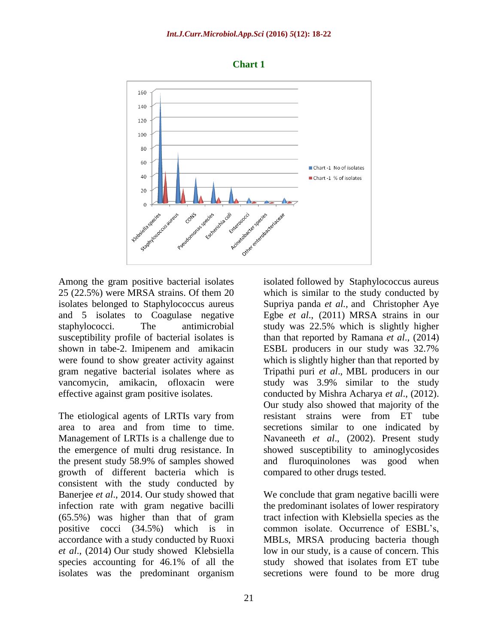



Among the gram positive bacterial isolates 25 (22.5%) were MRSA strains. Of them 20 isolates belonged to Staphylococcus aureus and 5 isolates to Coagulase negative staphylococci. The antimicrobial susceptibility profile of bacterial isolates is shown in tabe-2. Imipenem and amikacin were found to show greater activity against gram negative bacterial isolates where as vancomycin, amikacin, ofloxacin were effective against gram positive isolates.

The etiological agents of LRTIs vary from area to area and from time to time. Management of LRTIs is a challenge due to the emergence of multi drug resistance. In the present study 58.9% of samples showed growth of different bacteria which is consistent with the study conducted by Banerjee *et al*., 2014. Our study showed that infection rate with gram negative bacilli (65.5%) was higher than that of gram positive cocci (34.5%) which is in accordance with a study conducted by Ruoxi *et al*., (2014) Our study showed Klebsiella species accounting for 46.1% of all the isolates was the predominant organism

isolated followed by Staphylococcus aureus which is similar to the study conducted by Supriya panda *et al.,* and [Christopher Aye](http://www.ncbi.nlm.nih.gov/pubmed/?term=Egbe%20CA%5Bauth%5D)  [Egbe](http://www.ncbi.nlm.nih.gov/pubmed/?term=Egbe%20CA%5Bauth%5D) *et al*., (2011) MRSA strains in our study was 22.5% which is slightly higher than that reported by Ramana *et al*., (2014) ESBL producers in our study was 32.7% which is slightly higher than that reported by Tripathi puri *et al*., MBL producers in our study was 3.9% similar to the study conducted by Mishra Acharya *et al*., (2012). Our study also showed that majority of the resistant strains were from ET tube secretions similar to one indicated by Navaneeth *et al*., (2002). Present study showed susceptibility to aminoglycosides and fluroquinolones was good when compared to other drugs tested.

We conclude that gram negative bacilli were the predominant isolates of lower respiratory tract infection with Klebsiella species as the common isolate. Occurrence of ESBL's, MBLs, MRSA producing bacteria though low in our study, is a cause of concern. This study showed that isolates from ET tube secretions were found to be more drug